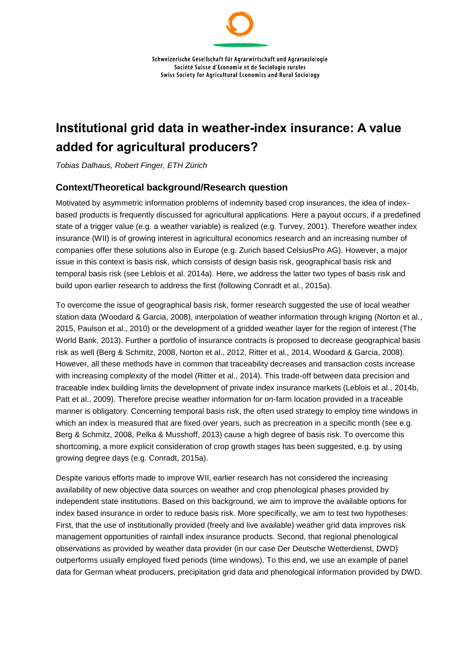# **Institutional grid data in weather-index insurance: A value added for agricultural producers?**

*Tobias Dalhaus, Robert Finger, ETH Zürich*

### **Context/Theoretical background/Research question**

Motivated by asymmetric information problems of indemnity based crop insurances, the idea of indexbased products is frequently discussed for agricultural applications. Here a payout occurs, if a predefined state of a trigger value (e.g. a weather variable) is realized (e.g. Turvey, 2001). Therefore weather index insurance (WII) is of growing interest in agricultural economics research and an increasing number of companies offer these solutions also in Europe (e.g. Zurich based CelsiusPro AG). However, a major issue in this context is basis risk, which consists of design basis risk, geographical basis risk and temporal basis risk (see Leblois et al. 2014a). Here, we address the latter two types of basis risk and build upon earlier research to address the first (following Conradt et al., 2015a).

To overcome the issue of geographical basis risk, former research suggested the use of local weather station data (Woodard & Garcia, 2008), interpolation of weather information through kriging (Norton et al., 2015, Paulson et al., 2010) or the development of a gridded weather layer for the region of interest (The World Bank, 2013). Further a portfolio of insurance contracts is proposed to decrease geographical basis risk as well (Berg & Schmitz, 2008, Norton et al., 2012, Ritter et al., 2014, Woodard & Garcia, 2008). However, all these methods have in common that traceability decreases and transaction costs increase with increasing complexity of the model (Ritter et al., 2014). This trade-off between data precision and traceable index building limits the development of private index insurance markets (Leblois et al., 2014b, Patt et al., 2009). Therefore precise weather information for on-farm location provided in a traceable manner is obligatory. Concerning temporal basis risk, the often used strategy to employ time windows in which an index is measured that are fixed over years, such as precreation in a specific month (see e.g. Berg & Schmitz, 2008, Pelka & Musshoff, 2013) cause a high degree of basis risk. To overcome this shortcoming, a more explicit consideration of crop growth stages has been suggested, e.g. by using growing degree days (e.g. Conradt, 2015a).

Despite various efforts made to improve WII, earlier research has not considered the increasing availability of new objective data sources on weather and crop phenological phases provided by independent state institutions. Based on this background, we aim to improve the available options for index based insurance in order to reduce basis risk. More specifically, we aim to test two hypotheses: First, that the use of institutionally provided (freely and live available) weather grid data improves risk management opportunities of rainfall index insurance products. Second, that regional phenological observations as provided by weather data provider (in our case Der Deutsche Wetterdienst, DWD) outperforms usually employed fixed periods (time windows). To this end, we use an example of panel data for German wheat producers, precipitation grid data and phenological information provided by DWD.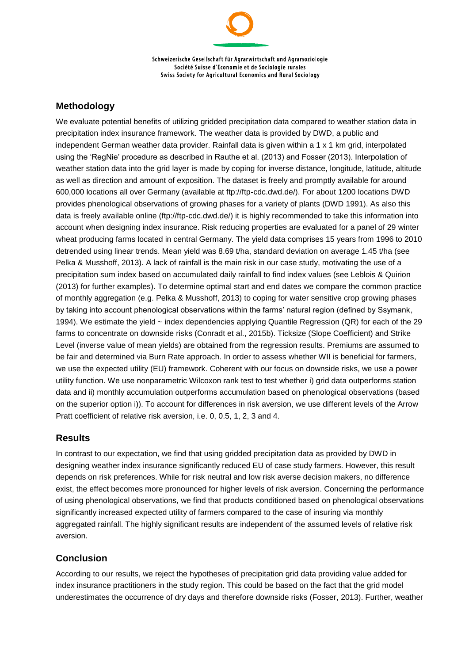Schweizerische Gesellschaft für Agrarwirtschaft und Agrarsoziologie Société Suisse d'Economie et de Sociologie rurales Swiss Society for Agricultural Economics and Rural Sociology

### **Methodology**

We evaluate potential benefits of utilizing gridded precipitation data compared to weather station data in precipitation index insurance framework. The weather data is provided by DWD, a public and independent German weather data provider. Rainfall data is given within a 1 x 1 km grid, interpolated using the 'RegNie' procedure as described in Rauthe et al. (2013) and Fosser (2013). Interpolation of weather station data into the grid layer is made by coping for inverse distance, longitude, latitude, altitude as well as direction and amount of exposition. The dataset is freely and promptly available for around 600,000 locations all over Germany (available at ftp://ftp-cdc.dwd.de/). For about 1200 locations DWD provides phenological observations of growing phases for a variety of plants (DWD 1991). As also this data is freely available online (ftp://ftp-cdc.dwd.de/) it is highly recommended to take this information into account when designing index insurance. Risk reducing properties are evaluated for a panel of 29 winter wheat producing farms located in central Germany. The yield data comprises 15 years from 1996 to 2010 detrended using linear trends. Mean yield was 8.69 t/ha, standard deviation on average 1.45 t/ha (see Pelka & Musshoff, 2013). A lack of rainfall is the main risk in our case study, motivating the use of a precipitation sum index based on accumulated daily rainfall to find index values (see Leblois & Quirion (2013) for further examples). To determine optimal start and end dates we compare the common practice of monthly aggregation (e.g. Pelka & Musshoff, 2013) to coping for water sensitive crop growing phases by taking into account phenological observations within the farms' natural region (defined by Ssymank, 1994). We estimate the yield ~ index dependencies applying Quantile Regression (QR) for each of the 29 farms to concentrate on downside risks (Conradt et al., 2015b). Ticksize (Slope Coefficient) and Strike Level (inverse value of mean yields) are obtained from the regression results. Premiums are assumed to be fair and determined via Burn Rate approach. In order to assess whether WII is beneficial for farmers, we use the expected utility (EU) framework. Coherent with our focus on downside risks, we use a power utility function. We use nonparametric Wilcoxon rank test to test whether i) grid data outperforms station data and ii) monthly accumulation outperforms accumulation based on phenological observations (based on the superior option i)). To account for differences in risk aversion, we use different levels of the Arrow Pratt coefficient of relative risk aversion, i.e. 0, 0.5, 1, 2, 3 and 4.

#### **Results**

In contrast to our expectation, we find that using gridded precipitation data as provided by DWD in designing weather index insurance significantly reduced EU of case study farmers. However, this result depends on risk preferences. While for risk neutral and low risk averse decision makers, no difference exist, the effect becomes more pronounced for higher levels of risk aversion. Concerning the performance of using phenological observations, we find that products conditioned based on phenological observations significantly increased expected utility of farmers compared to the case of insuring via monthly aggregated rainfall. The highly significant results are independent of the assumed levels of relative risk aversion.

## **Conclusion**

According to our results, we reject the hypotheses of precipitation grid data providing value added for index insurance practitioners in the study region. This could be based on the fact that the grid model underestimates the occurrence of dry days and therefore downside risks (Fosser, 2013). Further, weather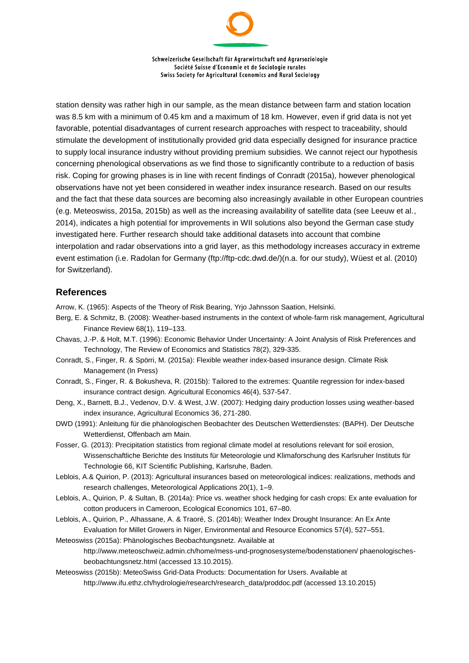Schweizerische Gesellschaft für Agrarwirtschaft und Agrarsoziologie Société Suisse d'Economie et de Sociologie rurales Swiss Society for Agricultural Economics and Rural Sociology

station density was rather high in our sample, as the mean distance between farm and station location was 8.5 km with a minimum of 0.45 km and a maximum of 18 km. However, even if grid data is not yet favorable, potential disadvantages of current research approaches with respect to traceability, should stimulate the development of institutionally provided grid data especially designed for insurance practice to supply local insurance industry without providing premium subsidies. We cannot reject our hypothesis concerning phenological observations as we find those to significantly contribute to a reduction of basis risk. Coping for growing phases is in line with recent findings of Conradt (2015a), however phenological observations have not yet been considered in weather index insurance research. Based on our results and the fact that these data sources are becoming also increasingly available in other European countries (e.g. Meteoswiss, 2015a, 2015b) as well as the increasing availability of satellite data (see Leeuw et al., 2014), indicates a high potential for improvements in WII solutions also beyond the German case study investigated here. Further research should take additional datasets into account that combine interpolation and radar observations into a grid layer, as this methodology increases accuracy in extreme event estimation (i.e. Radolan for Germany (ftp://ftp-cdc.dwd.de/)(n.a. for our study), Wüest et al. (2010) for Switzerland).

#### **References**

Arrow, K. (1965): Aspects of the Theory of Risk Bearing, Yrjo Jahnsson Saation, Helsinki.

- Berg, E. & Schmitz, B. (2008): Weather‐based instruments in the context of whole‐farm risk management, Agricultural Finance Review 68(1), 119–133.
- Chavas, J.-P. & Holt, M.T. (1996): Economic Behavior Under Uncertainty: A Joint Analysis of Risk Preferences and Technology, The Review of Economics and Statistics 78(2), 329-335.
- Conradt, S., Finger, R. & Spörri, M. (2015a): Flexible weather index-based insurance design. Climate Risk Management (In Press)
- Conradt, S., Finger, R. & Bokusheva, R. (2015b): Tailored to the extremes: Quantile regression for index-based insurance contract design. Agricultural Economics 46(4), 537-547.
- Deng, X., Barnett, B.J., Vedenov, D.V. & West, J.W. (2007): Hedging dairy production losses using weather-based index insurance, Agricultural Economics 36, 271-280.
- DWD (1991): Anleitung für die phänologischen Beobachter des Deutschen Wetterdienstes: (BAPH). Der Deutsche Wetterdienst, Offenbach am Main.
- Fosser, G. (2013): Precipitation statistics from regional climate model at resolutions relevant for soil erosion, Wissenschaftliche Berichte des Instituts für Meteorologie und Klimaforschung des Karlsruher Instituts für Technologie 66, KIT Scientific Publishing, Karlsruhe, Baden.
- Leblois, A.& Quirion, P. (2013): Agricultural insurances based on meteorological indices: realizations, methods and research challenges, Meteorological Applications 20(1), 1–9.
- Leblois, A., Quirion, P. & Sultan, B. (2014a): Price vs. weather shock hedging for cash crops: Ex ante evaluation for cotton producers in Cameroon, Ecological Economics 101, 67–80.
- Leblois, A., Quirion, P., Alhassane, A. & Traoré, S. (2014b): Weather Index Drought Insurance: An Ex Ante Evaluation for Millet Growers in Niger, Environmental and Resource Economics 57(4), 527–551.
- Meteoswiss (2015a): Phänologisches Beobachtungsnetz. Available at http://www.meteoschweiz.admin.ch/home/mess-und-prognosesysteme/bodenstationen/ phaenologischesbeobachtungsnetz.html (accessed 13.10.2015).
- Meteoswiss (2015b): MeteoSwiss Grid-Data Products: Documentation for Users. Available at http://www.ifu.ethz.ch/hydrologie/research/research\_data/proddoc.pdf (accessed 13.10.2015)